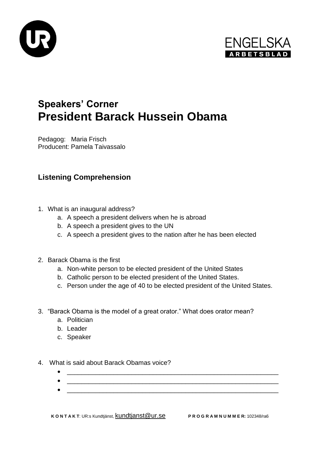



## **Speakers' Corner President Barack Hussein Obama**

Pedagog: Maria Frisch Producent: Pamela Taivassalo

## **Listening Comprehension**

- 1. What is an inaugural address?
	- a. A speech a president delivers when he is abroad
	- b. A speech a president gives to the UN
	- c. A speech a president gives to the nation after he has been elected
- 2. Barack Obama is the first
	- a. Non-white person to be elected president of the United States
	- b. Catholic person to be elected president of the United States.
	- c. Person under the age of 40 to be elected president of the United States.
- 3. "Barack Obama is the model of a great orator." What does orator mean?
	- a. Politician
	- b. Leader
	- c. Speaker
- 4. What is said about Barack Obamas voice?
	- \_\_\_\_\_\_\_\_\_\_\_\_\_\_\_\_\_\_\_\_\_\_\_\_\_\_\_\_\_\_\_\_\_\_\_\_\_\_\_\_\_\_\_\_\_\_\_\_\_\_\_\_\_\_\_\_\_\_\_
	- $\bullet$   $\overbrace{\phantom{xxxxx}}$  ,  $\overbrace{\phantom{xxxxx}}$  ,  $\overbrace{\phantom{xxxxx}}$  ,  $\overbrace{\phantom{xxxxx}}$  ,  $\overbrace{\phantom{xxxxx}}$  ,  $\overbrace{\phantom{xxxxx}}$  ,  $\overbrace{\phantom{xxxxx}}$  ,  $\overbrace{\phantom{xxxxx}}$  ,  $\overbrace{\phantom{xxxxx}}$  ,  $\overbrace{\phantom{xxxxx}}$  ,  $\overbrace{\phantom{xxxxx}}$  ,  $\overbrace{\phantom{xxxxx}}$  ,  $\overbrace{\phantom{xxxxx}}$  ,  $\overbrace{\phantom{xxxxx}}$  ,  $\overbrace{\phant$